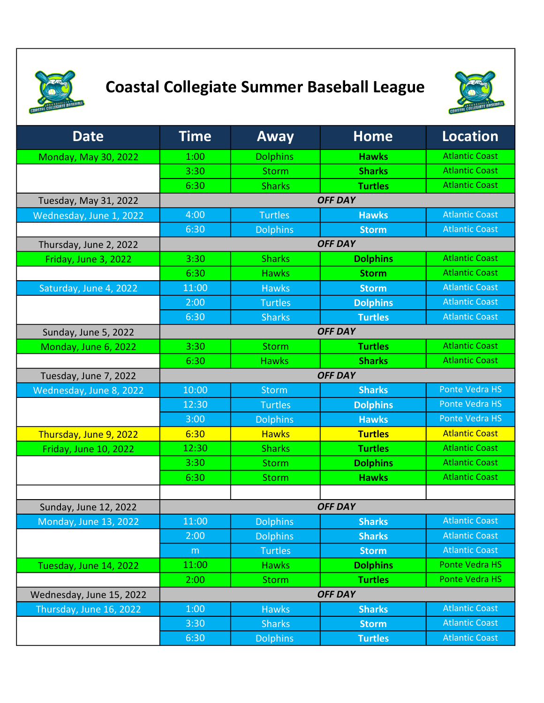

## Coastal Collegiate Summer Baseball League



| <b>Date</b>                 | <b>Time</b>    | Away            | <b>Home</b>     | <b>Location</b>       |  |
|-----------------------------|----------------|-----------------|-----------------|-----------------------|--|
| <b>Monday, May 30, 2022</b> | 1:00           | <b>Dolphins</b> | <b>Hawks</b>    | <b>Atlantic Coast</b> |  |
|                             | 3:30           | <b>Storm</b>    | <b>Sharks</b>   | <b>Atlantic Coast</b> |  |
|                             | 6:30           | <b>Sharks</b>   | <b>Turtles</b>  | <b>Atlantic Coast</b> |  |
| Tuesday, May 31, 2022       | <b>OFF DAY</b> |                 |                 |                       |  |
| Wednesday, June 1, 2022     | 4:00           | <b>Turtles</b>  | <b>Hawks</b>    | <b>Atlantic Coast</b> |  |
|                             | 6:30           | <b>Dolphins</b> | <b>Storm</b>    | <b>Atlantic Coast</b> |  |
| Thursday, June 2, 2022      | <b>OFF DAY</b> |                 |                 |                       |  |
| Friday, June 3, 2022        | 3:30           | <b>Sharks</b>   | <b>Dolphins</b> | <b>Atlantic Coast</b> |  |
|                             | 6:30           | <b>Hawks</b>    | <b>Storm</b>    | <b>Atlantic Coast</b> |  |
| Saturday, June 4, 2022      | 11:00          | <b>Hawks</b>    | <b>Storm</b>    | <b>Atlantic Coast</b> |  |
|                             | 2:00           | <b>Turtles</b>  | <b>Dolphins</b> | <b>Atlantic Coast</b> |  |
|                             | 6:30           | <b>Sharks</b>   | <b>Turtles</b>  | <b>Atlantic Coast</b> |  |
| Sunday, June 5, 2022        |                |                 | <b>OFF DAY</b>  |                       |  |
| Monday, June 6, 2022        | 3:30           | <b>Storm</b>    | <b>Turtles</b>  | <b>Atlantic Coast</b> |  |
|                             | 6:30           | <b>Hawks</b>    | <b>Sharks</b>   | <b>Atlantic Coast</b> |  |
| Tuesday, June 7, 2022       | <b>OFF DAY</b> |                 |                 |                       |  |
| Wednesday, June 8, 2022     | 10:00          | <b>Storm</b>    | <b>Sharks</b>   | <b>Ponte Vedra HS</b> |  |
|                             | 12:30          | <b>Turtles</b>  | <b>Dolphins</b> | <b>Ponte Vedra HS</b> |  |
|                             | 3:00           | <b>Dolphins</b> | <b>Hawks</b>    | <b>Ponte Vedra HS</b> |  |
| Thursday, June 9, 2022      | 6:30           | <b>Hawks</b>    | <b>Turtles</b>  | <b>Atlantic Coast</b> |  |
| Friday, June 10, 2022       | 12:30          | <b>Sharks</b>   | <b>Turtles</b>  | <b>Atlantic Coast</b> |  |
|                             | 3:30           | <b>Storm</b>    | <b>Dolphins</b> | <b>Atlantic Coast</b> |  |
|                             | 6:30           | <b>Storm</b>    | <b>Hawks</b>    | <b>Atlantic Coast</b> |  |
|                             |                |                 |                 |                       |  |
| Sunday, June 12, 2022       | <b>OFF DAY</b> |                 |                 |                       |  |
| Monday, June 13, 2022       | 11:00          | <b>Dolphins</b> | <b>Sharks</b>   | <b>Atlantic Coast</b> |  |
|                             | 2:00           | <b>Dolphins</b> | <b>Sharks</b>   | <b>Atlantic Coast</b> |  |
|                             | m              | <b>Turtles</b>  | <b>Storm</b>    | <b>Atlantic Coast</b> |  |
| Tuesday, June 14, 2022      | 11:00          | <b>Hawks</b>    | <b>Dolphins</b> | Ponte Vedra HS        |  |
|                             | 2:00           | <b>Storm</b>    | <b>Turtles</b>  | Ponte Vedra HS        |  |
| Wednesday, June 15, 2022    | <b>OFF DAY</b> |                 |                 |                       |  |
| Thursday, June 16, 2022     | 1:00           | <b>Hawks</b>    | <b>Sharks</b>   | <b>Atlantic Coast</b> |  |
|                             | 3:30           | <b>Sharks</b>   | <b>Storm</b>    | <b>Atlantic Coast</b> |  |
|                             | 6:30           | <b>Dolphins</b> | <b>Turtles</b>  | <b>Atlantic Coast</b> |  |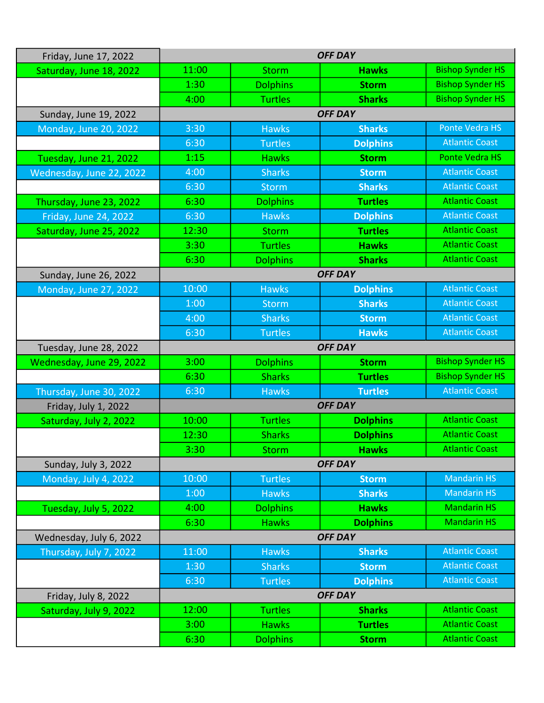| Friday, June 17, 2022    | <b>OFF DAY</b> |                 |                 |                         |  |
|--------------------------|----------------|-----------------|-----------------|-------------------------|--|
| Saturday, June 18, 2022  | 11:00          | <b>Storm</b>    | <b>Hawks</b>    | <b>Bishop Synder HS</b> |  |
|                          | 1:30           | <b>Dolphins</b> | <b>Storm</b>    | <b>Bishop Synder HS</b> |  |
|                          | 4:00           | <b>Turtles</b>  | <b>Sharks</b>   | <b>Bishop Synder HS</b> |  |
| Sunday, June 19, 2022    | <b>OFF DAY</b> |                 |                 |                         |  |
| Monday, June 20, 2022    | 3:30           | <b>Hawks</b>    | <b>Sharks</b>   | Ponte Vedra HS          |  |
|                          | 6:30           | <b>Turtles</b>  | <b>Dolphins</b> | <b>Atlantic Coast</b>   |  |
| Tuesday, June 21, 2022   | 1:15           | <b>Hawks</b>    | <b>Storm</b>    | Ponte Vedra HS          |  |
| Wednesday, June 22, 2022 | 4:00           | <b>Sharks</b>   | <b>Storm</b>    | <b>Atlantic Coast</b>   |  |
|                          | 6:30           | <b>Storm</b>    | <b>Sharks</b>   | <b>Atlantic Coast</b>   |  |
| Thursday, June 23, 2022  | 6:30           | <b>Dolphins</b> | <b>Turtles</b>  | <b>Atlantic Coast</b>   |  |
| Friday, June 24, 2022    | 6:30           | <b>Hawks</b>    | <b>Dolphins</b> | <b>Atlantic Coast</b>   |  |
| Saturday, June 25, 2022  | 12:30          | <b>Storm</b>    | <b>Turtles</b>  | <b>Atlantic Coast</b>   |  |
|                          | 3:30           | <b>Turtles</b>  | <b>Hawks</b>    | <b>Atlantic Coast</b>   |  |
|                          | 6:30           | <b>Dolphins</b> | <b>Sharks</b>   | <b>Atlantic Coast</b>   |  |
| Sunday, June 26, 2022    | <b>OFF DAY</b> |                 |                 |                         |  |
| Monday, June 27, 2022    | 10:00          | <b>Hawks</b>    | <b>Dolphins</b> | <b>Atlantic Coast</b>   |  |
|                          | 1:00           | <b>Storm</b>    | <b>Sharks</b>   | <b>Atlantic Coast</b>   |  |
|                          | 4:00           | <b>Sharks</b>   | <b>Storm</b>    | <b>Atlantic Coast</b>   |  |
|                          | 6:30           | <b>Turtles</b>  | <b>Hawks</b>    | <b>Atlantic Coast</b>   |  |
| Tuesday, June 28, 2022   | <b>OFF DAY</b> |                 |                 |                         |  |
| Wednesday, June 29, 2022 | 3:00           | <b>Dolphins</b> | <b>Storm</b>    | <b>Bishop Synder HS</b> |  |
|                          | 6:30           | <b>Sharks</b>   | <b>Turtles</b>  | <b>Bishop Synder HS</b> |  |
| Thursday, June 30, 2022  | 6:30           | <b>Hawks</b>    | <b>Turtles</b>  | <b>Atlantic Coast</b>   |  |
| Friday, July 1, 2022     | <b>OFF DAY</b> |                 |                 |                         |  |
| Saturday, July 2, 2022   | 10:00          | <b>Turtles</b>  | <b>Dolphins</b> | <b>Atlantic Coast</b>   |  |
|                          | 12:30          | <b>Sharks</b>   | <b>Dolphins</b> | <b>Atlantic Coast</b>   |  |
|                          | 3:30           | <b>Storm</b>    | <b>Hawks</b>    | <b>Atlantic Coast</b>   |  |
| Sunday, July 3, 2022     |                |                 | <b>OFF DAY</b>  |                         |  |
| Monday, July 4, 2022     | 10:00          | <b>Turtles</b>  | <b>Storm</b>    | <b>Mandarin HS</b>      |  |
|                          | 1:00           | <b>Hawks</b>    | <b>Sharks</b>   | <b>Mandarin HS</b>      |  |
| Tuesday, July 5, 2022    | 4:00           | <b>Dolphins</b> | <b>Hawks</b>    | <b>Mandarin HS</b>      |  |
|                          | 6:30           | <b>Hawks</b>    | <b>Dolphins</b> | <b>Mandarin HS</b>      |  |
| Wednesday, July 6, 2022  | <b>OFF DAY</b> |                 |                 |                         |  |
| Thursday, July 7, 2022   | 11:00          | <b>Hawks</b>    | <b>Sharks</b>   | <b>Atlantic Coast</b>   |  |
|                          | 1:30           | <b>Sharks</b>   | <b>Storm</b>    | <b>Atlantic Coast</b>   |  |
|                          | 6:30           | <b>Turtles</b>  | <b>Dolphins</b> | <b>Atlantic Coast</b>   |  |
| Friday, July 8, 2022     | <b>OFF DAY</b> |                 |                 |                         |  |
| Saturday, July 9, 2022   | 12:00          | <b>Turtles</b>  | <b>Sharks</b>   | <b>Atlantic Coast</b>   |  |
|                          | 3:00           | <b>Hawks</b>    | <b>Turtles</b>  | <b>Atlantic Coast</b>   |  |
|                          | 6:30           | <b>Dolphins</b> | <b>Storm</b>    | <b>Atlantic Coast</b>   |  |